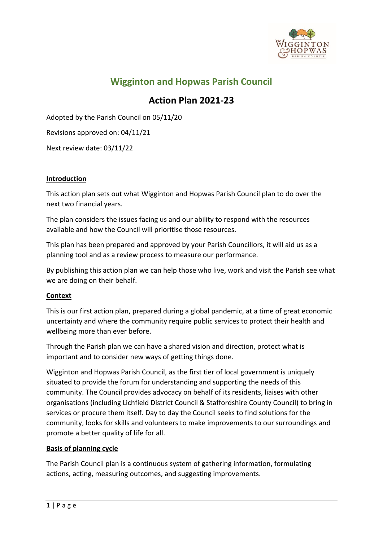

# **Wigginton and Hopwas Parish Council**

# **Action Plan 2021-23**

Adopted by the Parish Council on 05/11/20

Revisions approved on: 04/11/21

Next review date: 03/11/22

#### **Introduction**

This action plan sets out what Wigginton and Hopwas Parish Council plan to do over the next two financial years.

The plan considers the issues facing us and our ability to respond with the resources available and how the Council will prioritise those resources.

This plan has been prepared and approved by your Parish Councillors, it will aid us as a planning tool and as a review process to measure our performance.

By publishing this action plan we can help those who live, work and visit the Parish see what we are doing on their behalf.

#### **Context**

This is our first action plan, prepared during a global pandemic, at a time of great economic uncertainty and where the community require public services to protect their health and wellbeing more than ever before.

Through the Parish plan we can have a shared vision and direction, protect what is important and to consider new ways of getting things done.

Wigginton and Hopwas Parish Council, as the first tier of local government is uniquely situated to provide the forum for understanding and supporting the needs of this community. The Council provides advocacy on behalf of its residents, liaises with other organisations (including Lichfield District Council & Staffordshire County Council) to bring in services or procure them itself. Day to day the Council seeks to find solutions for the community, looks for skills and volunteers to make improvements to our surroundings and promote a better quality of life for all.

#### **Basis of planning cycle**

The Parish Council plan is a continuous system of gathering information, formulating actions, acting, measuring outcomes, and suggesting improvements.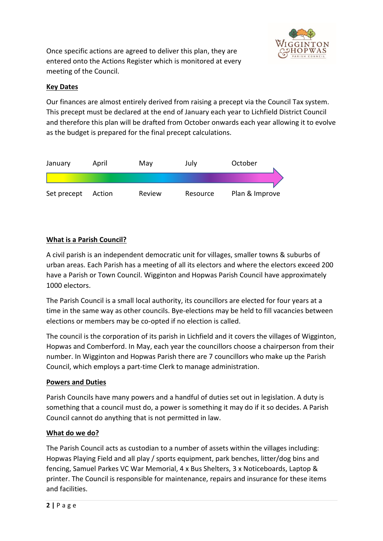

Once specific actions are agreed to deliver this plan, they are entered onto the Actions Register which is monitored at every meeting of the Council.

## **Key Dates**

Our finances are almost entirely derived from raising a precept via the Council Tax system. This precept must be declared at the end of January each year to Lichfield District Council and therefore this plan will be drafted from October onwards each year allowing it to evolve as the budget is prepared for the final precept calculations.



## **What is a Parish Council?**

A civil parish is an independent democratic unit for villages, smaller towns & suburbs of urban areas. Each Parish has a meeting of all its electors and where the electors exceed 200 have a Parish or Town Council. Wigginton and Hopwas Parish Council have approximately 1000 electors.

The Parish Council is a small local authority, its councillors are elected for four years at a time in the same way as other councils. Bye-elections may be held to fill vacancies between elections or members may be co-opted if no election is called.

The council is the corporation of its parish in Lichfield and it covers the villages of Wigginton, Hopwas and Comberford. In May, each year the councillors choose a chairperson from their number. In Wigginton and Hopwas Parish there are 7 councillors who make up the Parish Council, which employs a part-time Clerk to manage administration.

## **Powers and Duties**

Parish Councils have many powers and a handful of duties set out in legislation. A duty is something that a council must do, a power is something it may do if it so decides. A Parish Council cannot do anything that is not permitted in law.

## **What do we do?**

The Parish Council acts as custodian to a number of assets within the villages including: Hopwas Playing Field and all play / sports equipment, park benches, litter/dog bins and fencing, Samuel Parkes VC War Memorial, 4 x Bus Shelters, 3 x Noticeboards, Laptop & printer. The Council is responsible for maintenance, repairs and insurance for these items and facilities.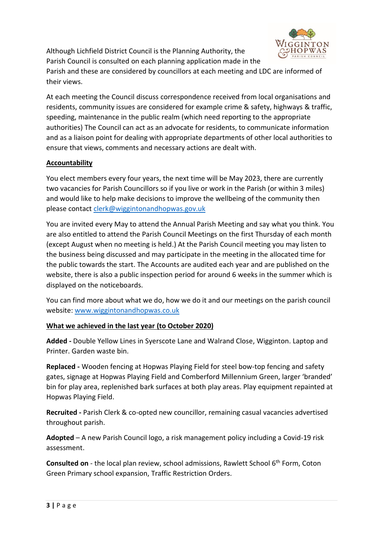Although Lichfield District Council is the Planning Authority, the Parish Council is consulted on each planning application made in the



Parish and these are considered by councillors at each meeting and LDC are informed of their views.

At each meeting the Council discuss correspondence received from local organisations and residents, community issues are considered for example crime & safety, highways & traffic, speeding, maintenance in the public realm (which need reporting to the appropriate authorities) The Council can act as an advocate for residents, to communicate information and as a liaison point for dealing with appropriate departments of other local authorities to ensure that views, comments and necessary actions are dealt with.

# **Accountability**

You elect members every four years, the next time will be May 2023, there are currently two vacancies for Parish Councillors so if you live or work in the Parish (or within 3 miles) and would like to help make decisions to improve the wellbeing of the community then please contact [clerk@wiggintonandhopwas.gov.uk](mailto:clerk@wiggintonandhopwas.gov.uk)

You are invited every May to attend the Annual Parish Meeting and say what you think. You are also entitled to attend the Parish Council Meetings on the first Thursday of each month (except August when no meeting is held.) At the Parish Council meeting you may listen to the business being discussed and may participate in the meeting in the allocated time for the public towards the start. The Accounts are audited each year and are published on the website, there is also a public inspection period for around 6 weeks in the summer which is displayed on the noticeboards.

You can find more about what we do, how we do it and our meetings on the parish council website: [www.wiggintonandhopwas.co.uk](http://www.wiggintonandhopwas.co.uk/)

# **What we achieved in the last year (to October 2020)**

**Added -** Double Yellow Lines in Syerscote Lane and Walrand Close, Wigginton. Laptop and Printer. Garden waste bin.

**Replaced -** Wooden fencing at Hopwas Playing Field for steel bow-top fencing and safety gates, signage at Hopwas Playing Field and Comberford Millennium Green, larger 'branded' bin for play area, replenished bark surfaces at both play areas. Play equipment repainted at Hopwas Playing Field.

**Recruited -** Parish Clerk & co-opted new councillor, remaining casual vacancies advertised throughout parish.

**Adopted** – A new Parish Council logo, a risk management policy including a Covid-19 risk assessment.

**Consulted on** - the local plan review, school admissions, Rawlett School 6<sup>th</sup> Form, Coton Green Primary school expansion, Traffic Restriction Orders.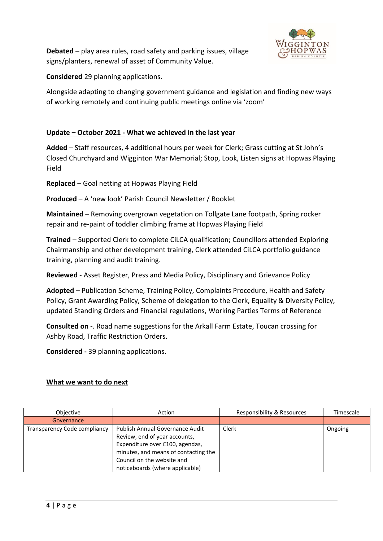

**Debated** – play area rules, road safety and parking issues, village signs/planters, renewal of asset of Community Value.

**Considered** 29 planning applications.

Alongside adapting to changing government guidance and legislation and finding new ways of working remotely and continuing public meetings online via 'zoom'

## **Update – October 2021 - What we achieved in the last year**

**Added** – Staff resources, 4 additional hours per week for Clerk; Grass cutting at St John's Closed Churchyard and Wigginton War Memorial; Stop, Look, Listen signs at Hopwas Playing Field

**Replaced** – Goal netting at Hopwas Playing Field

**Produced** – A 'new look' Parish Council Newsletter / Booklet

**Maintained** – Removing overgrown vegetation on Tollgate Lane footpath, Spring rocker repair and re-paint of toddler climbing frame at Hopwas Playing Field

**Trained** – Supported Clerk to complete CiLCA qualification; Councillors attended Exploring Chairmanship and other development training, Clerk attended CiLCA portfolio guidance training, planning and audit training.

**Reviewed** - Asset Register, Press and Media Policy, Disciplinary and Grievance Policy

**Adopted** – Publication Scheme, Training Policy, Complaints Procedure, Health and Safety Policy, Grant Awarding Policy, Scheme of delegation to the Clerk, Equality & Diversity Policy, updated Standing Orders and Financial regulations, Working Parties Terms of Reference

**Consulted on** -. Road name suggestions for the Arkall Farm Estate, Toucan crossing for Ashby Road, Traffic Restriction Orders.

**Considered -** 39 planning applications.

#### **What we want to do next**

| Objective                           | Action                               | Responsibility & Resources | Timescale |
|-------------------------------------|--------------------------------------|----------------------------|-----------|
| Governance                          |                                      |                            |           |
| <b>Transparency Code compliancy</b> | Publish Annual Governance Audit      | Clerk                      | Ongoing   |
|                                     | Review, end of year accounts,        |                            |           |
|                                     | Expenditure over £100, agendas,      |                            |           |
|                                     | minutes, and means of contacting the |                            |           |
|                                     | Council on the website and           |                            |           |
|                                     | noticeboards (where applicable)      |                            |           |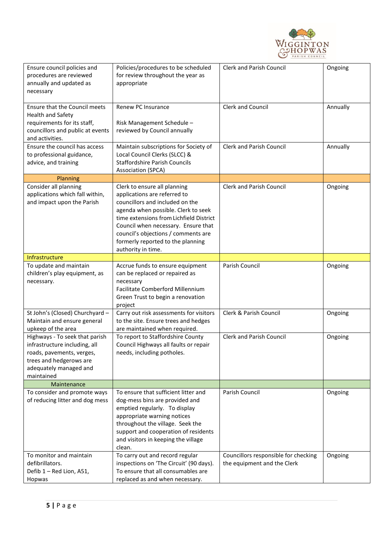

| Ensure council policies and<br>procedures are reviewed<br>annually and updated as<br>necessary                                                                  | Policies/procedures to be scheduled<br>for review throughout the year as<br>appropriate                                                                                                                                                                                                                                    | <b>Clerk and Parish Council</b>                                     | Ongoing  |
|-----------------------------------------------------------------------------------------------------------------------------------------------------------------|----------------------------------------------------------------------------------------------------------------------------------------------------------------------------------------------------------------------------------------------------------------------------------------------------------------------------|---------------------------------------------------------------------|----------|
| <b>Ensure that the Council meets</b><br>Health and Safety<br>requirements for its staff,<br>councillors and public at events<br>and activities.                 | Renew PC Insurance<br>Risk Management Schedule-<br>reviewed by Council annually                                                                                                                                                                                                                                            | Clerk and Council                                                   | Annually |
| Ensure the council has access<br>to professional guidance,<br>advice, and training                                                                              | Maintain subscriptions for Society of<br>Local Council Clerks (SLCC) &<br><b>Staffordshire Parish Councils</b><br>Association (SPCA)                                                                                                                                                                                       | <b>Clerk and Parish Council</b>                                     | Annually |
| Planning                                                                                                                                                        |                                                                                                                                                                                                                                                                                                                            |                                                                     |          |
| Consider all planning<br>applications which fall within,<br>and impact upon the Parish                                                                          | Clerk to ensure all planning<br>applications are referred to<br>councillors and included on the<br>agenda when possible. Clerk to seek<br>time extensions from Lichfield District<br>Council when necessary. Ensure that<br>council's objections / comments are<br>formerly reported to the planning<br>authority in time. | <b>Clerk and Parish Council</b>                                     | Ongoing  |
| Infrastructure                                                                                                                                                  |                                                                                                                                                                                                                                                                                                                            |                                                                     |          |
| To update and maintain<br>children's play equipment, as<br>necessary.                                                                                           | Accrue funds to ensure equipment<br>can be replaced or repaired as<br>necessary<br>Facilitate Comberford Millennium<br>Green Trust to begin a renovation<br>project                                                                                                                                                        | Parish Council                                                      | Ongoing  |
| St John's (Closed) Churchyard -<br>Maintain and ensure general<br>upkeep of the area                                                                            | Carry out risk assessments for visitors<br>to the site. Ensure trees and hedges<br>are maintained when required.                                                                                                                                                                                                           | Clerk & Parish Council                                              | Ongoing  |
| Highways - To seek that parish<br>infrastructure including, all<br>roads, pavements, verges,<br>trees and hedgerows are<br>adequately managed and<br>maintained | To report to Staffordshire County<br>Council Highways all faults or repair<br>needs, including potholes.                                                                                                                                                                                                                   | <b>Clerk and Parish Council</b>                                     | Ongoing  |
| Maintenance                                                                                                                                                     |                                                                                                                                                                                                                                                                                                                            |                                                                     |          |
| To consider and promote ways<br>of reducing litter and dog mess                                                                                                 | To ensure that sufficient litter and<br>dog-mess bins are provided and<br>emptied regularly. To display<br>appropriate warning notices<br>throughout the village. Seek the<br>support and cooperation of residents<br>and visitors in keeping the village<br>clean.                                                        | Parish Council                                                      | Ongoing  |
| To monitor and maintain<br>defibrillators.<br>Defib 1 - Red Lion, A51,<br>Hopwas                                                                                | To carry out and record regular<br>inspections on 'The Circuit' (90 days).<br>To ensure that all consumables are<br>replaced as and when necessary.                                                                                                                                                                        | Councillors responsible for checking<br>the equipment and the Clerk | Ongoing  |